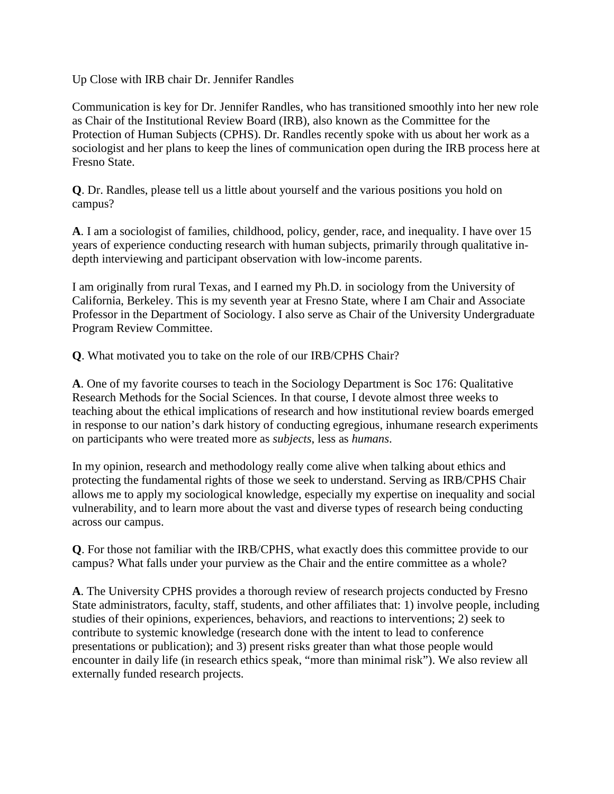Up Close with IRB chair Dr. Jennifer Randles

Communication is key for Dr. Jennifer Randles, who has transitioned smoothly into her new role as Chair of the Institutional Review Board (IRB), also known as the Committee for the Protection of Human Subjects (CPHS). Dr. Randles recently spoke with us about her work as a sociologist and her plans to keep the lines of communication open during the IRB process here at Fresno State.

**Q**. Dr. Randles, please tell us a little about yourself and the various positions you hold on campus?

**A**. I am a sociologist of families, childhood, policy, gender, race, and inequality. I have over 15 years of experience conducting research with human subjects, primarily through qualitative indepth interviewing and participant observation with low-income parents.

I am originally from rural Texas, and I earned my Ph.D. in sociology from the University of California, Berkeley. This is my seventh year at Fresno State, where I am Chair and Associate Professor in the Department of Sociology. I also serve as Chair of the University Undergraduate Program Review Committee.

**Q**. What motivated you to take on the role of our IRB/CPHS Chair?

**A**. One of my favorite courses to teach in the Sociology Department is Soc 176: Qualitative Research Methods for the Social Sciences. In that course, I devote almost three weeks to teaching about the ethical implications of research and how institutional review boards emerged in response to our nation's dark history of conducting egregious, inhumane research experiments on participants who were treated more as *subjects*, less as *humans*.

In my opinion, research and methodology really come alive when talking about ethics and protecting the fundamental rights of those we seek to understand. Serving as IRB/CPHS Chair allows me to apply my sociological knowledge, especially my expertise on inequality and social vulnerability, and to learn more about the vast and diverse types of research being conducting across our campus.

**Q**. For those not familiar with the IRB/CPHS, what exactly does this committee provide to our campus? What falls under your purview as the Chair and the entire committee as a whole?

**A**. The University CPHS provides a thorough review of research projects conducted by Fresno State administrators, faculty, staff, students, and other affiliates that: 1) involve people, including studies of their opinions, experiences, behaviors, and reactions to interventions; 2) seek to contribute to systemic knowledge (research done with the intent to lead to conference presentations or publication); and 3) present risks greater than what those people would encounter in daily life (in research ethics speak, "more than minimal risk"). We also review all externally funded research projects.